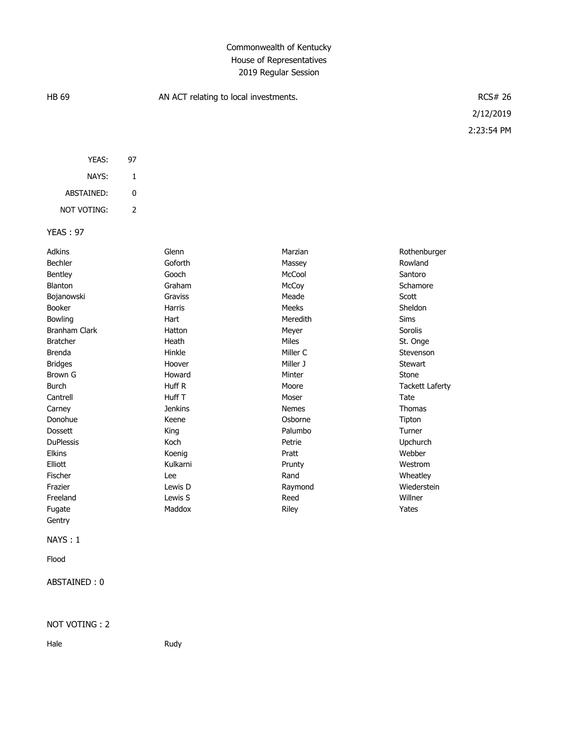## Commonwealth of Kentucky House of Representatives 2019 Regular Session

| <b>HB 69</b>     |                | AN ACT relating to local investments. | <b>RCS# 26</b> |                        |
|------------------|----------------|---------------------------------------|----------------|------------------------|
|                  |                |                                       |                | 2/12/2019              |
|                  |                |                                       |                | 2:23:54 PM             |
|                  |                |                                       |                |                        |
| YEAS:            | 97             |                                       |                |                        |
| NAYS:            | $\mathbf{1}$   |                                       |                |                        |
| ABSTAINED:       | 0              |                                       |                |                        |
| NOT VOTING:      | $\overline{2}$ |                                       |                |                        |
| <b>YEAS: 97</b>  |                |                                       |                |                        |
|                  |                |                                       |                |                        |
| Adkins           |                | Glenn                                 | Marzian        | Rothenburger           |
| Bechler          |                | Goforth                               | Massey         | Rowland                |
| Bentley          |                | Gooch                                 | McCool         | Santoro                |
| Blanton          |                | Graham                                | McCoy          | Schamore               |
| Bojanowski       |                | Graviss                               | Meade          | Scott                  |
| Booker           |                | Harris                                | Meeks          | Sheldon                |
| Bowling          |                | Hart                                  | Meredith       | Sims                   |
| Branham Clark    |                | Hatton                                | Meyer          | Sorolis                |
| <b>Bratcher</b>  |                | Heath                                 | Miles          | St. Onge               |
| <b>Brenda</b>    |                | Hinkle                                | Miller C       | Stevenson              |
| <b>Bridges</b>   |                | Hoover                                | Miller J       | Stewart                |
| Brown G          |                | Howard                                | Minter         | Stone                  |
| <b>Burch</b>     |                | Huff R                                | Moore          | <b>Tackett Laferty</b> |
| Cantrell         |                | Huff T                                | Moser          | Tate                   |
| Carney           |                | <b>Jenkins</b>                        | Nemes          | Thomas                 |
| Donohue          |                | Keene                                 | Osborne        | Tipton                 |
| Dossett          |                | King                                  | Palumbo        | Turner                 |
| <b>DuPlessis</b> |                | Koch                                  | Petrie         | Upchurch               |
| Elkins           |                | Koenig                                | Pratt          | Webber                 |
| Elliott          |                | Kulkarni                              | Prunty         | Westrom                |
| Fischer          |                | Lee                                   | Rand           | Wheatley               |
| Frazier          |                | Lewis D                               | Raymond        | Wiederstein            |
| Freeland         |                | Lewis S                               | Reed           | Willner                |
| Fugate           |                | Maddox                                | Riley          | Yates                  |
| Gentry           |                |                                       |                |                        |
| NAYS: 1          |                |                                       |                |                        |
| Flood            |                |                                       |                |                        |
| ABSTAINED: 0     |                |                                       |                |                        |

NOT VOTING : 2

Hale Rudy